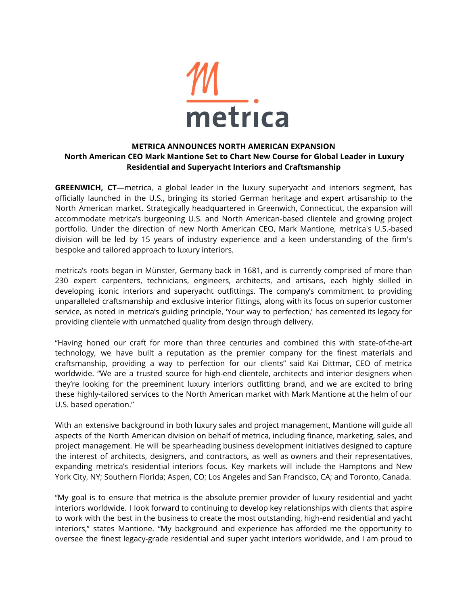

## **METRICA ANNOUNCES NORTH AMERICAN EXPANSION North American CEO Mark Mantione Set to Chart New Course for Global Leader in Luxury Residential and Superyacht Interiors and Craftsmanship**

**GREENWICH, CT**—metrica, a global leader in the luxury superyacht and interiors segment, has officially launched in the U.S., bringing its storied German heritage and expert artisanship to the North American market. Strategically headquartered in Greenwich, Connecticut, the expansion will accommodate metrica's burgeoning U.S. and North American-based clientele and growing project portfolio. Under the direction of new North American CEO, Mark Mantione, metrica's U.S.-based division will be led by 15 years of industry experience and a keen understanding of the firm's bespoke and tailored approach to luxury interiors.

metrica's roots began in Münster, Germany back in 1681, and is currently comprised of more than 230 expert carpenters, technicians, engineers, architects, and artisans, each highly skilled in developing iconic interiors and superyacht outfittings. The company's commitment to providing unparalleled craftsmanship and exclusive interior fittings, along with its focus on superior customer service, as noted in metrica's guiding principle, 'Your way to perfection,' has cemented its legacy for providing clientele with unmatched quality from design through delivery.

"Having honed our craft for more than three centuries and combined this with state-of-the-art technology, we have built a reputation as the premier company for the finest materials and craftsmanship, providing a way to perfection for our clients" said Kai Dittmar, CEO of metrica worldwide. "We are a trusted source for high-end clientele, architects and interior designers when they're looking for the preeminent luxury interiors outfitting brand, and we are excited to bring these highly-tailored services to the North American market with Mark Mantione at the helm of our U.S. based operation."

With an extensive background in both luxury sales and project management, Mantione will guide all aspects of the North American division on behalf of metrica, including finance, marketing, sales, and project management. He will be spearheading business development initiatives designed to capture the interest of architects, designers, and contractors, as well as owners and their representatives, expanding metrica's residential interiors focus. Key markets will include the Hamptons and New York City, NY; Southern Florida; Aspen, CO; Los Angeles and San Francisco, CA; and Toronto, Canada.

"My goal is to ensure that metrica is the absolute premier provider of luxury residential and yacht interiors worldwide. I look forward to continuing to develop key relationships with clients that aspire to work with the best in the business to create the most outstanding, high-end residential and yacht interiors," states Mantione. "My background and experience has afforded me the opportunity to oversee the finest legacy-grade residential and super yacht interiors worldwide, and I am proud to